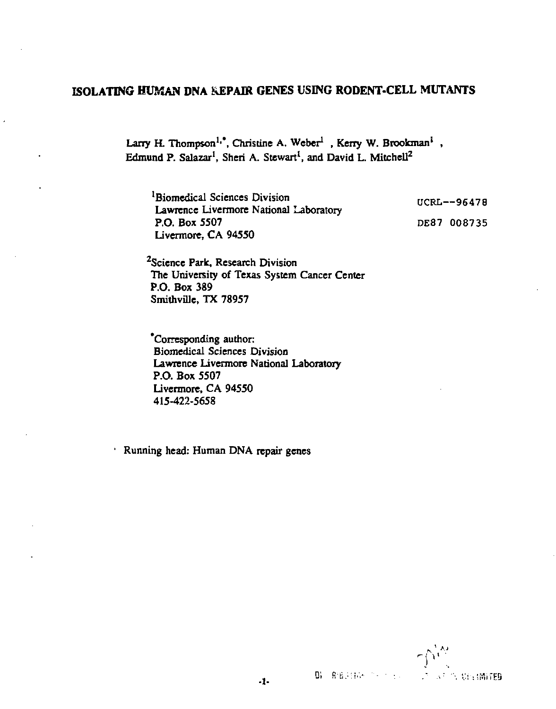# **ISOLATING HUMAN DNA REPAIR GENES USING RODENT-CELL MUTANTS**

Larry H. Thompson<sup>1,\*</sup>, Christine A. Weber<sup>1</sup>, Kerry W. Brookman<sup>i</sup>, Edmund P. Salazar<sup>1</sup>, Sheri A. Stewart<sup>1</sup>, and David L. Mitchell<sup>2</sup>

'Biomedical Sciences Division Lawrence Livermore National Laboratory P.O. Box 5507 Livermore, CA 94550

UCRL—96478 DE87 008735

<sup>2</sup>Science Park, Research Division The University of Texas System Cancer Center P.O. Box 389 Smithville, TX 78957

'Corresponding author: Biomedical Sciences Division Lawrence Livermore National Laboratory P.O. Box 5507 Livermore, CA 94550 415-422-5658

Running head: Human DNA repair genes

 $\Delta_{\nu}$ **B** RESERVIS SERVICE **CONTRACT STATES**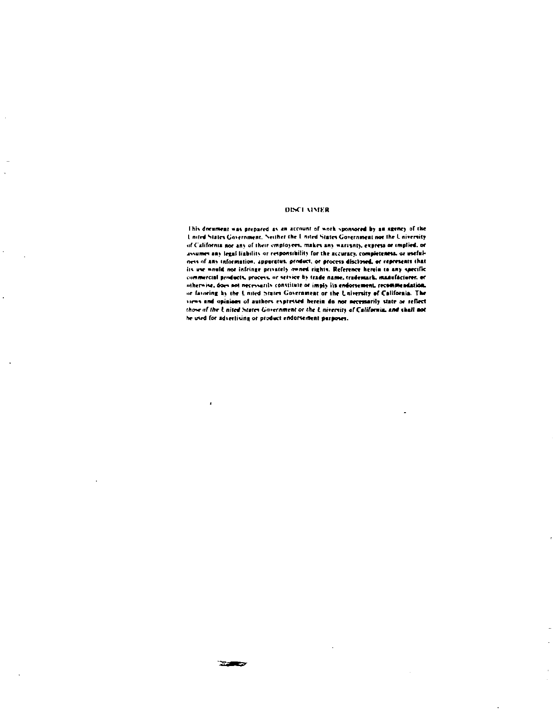#### **OISCLAIMER**

This document was prepared as an account of work sponsored by an agency of the Lourd States Government, Neither the United States Government not the University of California nor any of their employees, makes any warishty, express or implied, or assumes any legal liability or responsibility for the accuracy, completeness, or usefulness of any information, apparatus, product, or process disclosed, or represents that its use would not infringe prostely moned rights. Reference herein to any specific commercial products, process, or service by trade name, trademark, manufacturer, or otherwise, does not necessarily constitute or imply its endorsement, recommendation. or favoring by the United States Government or the University of California. The views and opinions of authors expressed berein do not necessarily state or reflect those of the United States Government or the University of California, and shall not he used for advertising or product endorsement purposes.

**Stations** 

÷,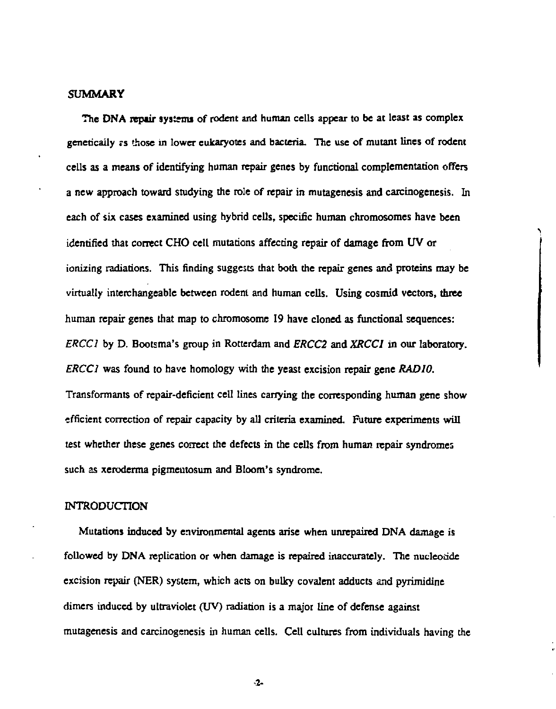# **SUMMARY**

**The DNA repair systems of rodent and human cells appear to be at least as complex genetically rs those in lower eukaryotes and bacteria. The use of mutant lines of rodent cells as a means of identifying human repair genes by functional complementation offers a new approach toward studying the role of repair in mutagenesis and carcinogenesis. In each of six cases examined using hybrid cells, specific human chromosomes have been identified that correct CHO cell mutations affecting repair of damage from UV or ionizing radiations. This finding suggests that both the repair genes and proteins may be virtually interchangeable between rodent and human cells. Using cosmid vectors, three human repair genes that map to chromosome 19 have cloned as functional sequences:**  *ERCC1* **by D. Bootsma's group in Rotterdam and** *ERCC2* **and** *XRCC1* **in our laboratory.**  *ERCC1* **was found to have homology with the yeast excision repair gene** *RADIO.*  **Transformants of repair-deficient cell lines carrying the corresponding human gene show efficient correction of repair capacity by all criteria examined. Future experiments will test whether these genes correct the defects in the cells from human repair syndromes such as xeroderma pigmentosum and Bloom's syndrome.** 

# **INTRODUCTION**

**Mutations induced by environmental agents arise when unrepaired DNA damage is followed by DNA replication or when damage is repaired inaccurately. The nucleotide excision repair (NER) system, which acts on bulky covalent adducts and pyrimidine dimers induced by ultraviolet (UV) radiation is a major line of defense against mutagenesis and carcinogenesis in human cells. Cell cultures from individuals having the** 

**2-**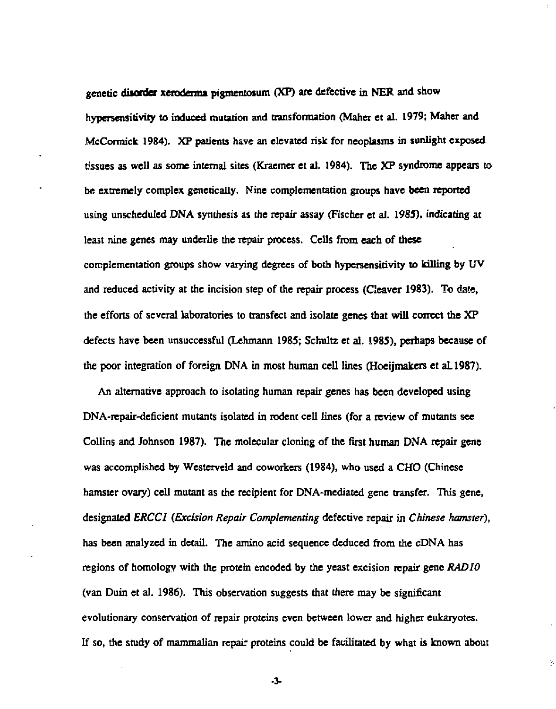genetic disorder xeroderma pigmentosum (XP) are defective in NER and show hypersensitivity to induced mutation and transformation (Maher et al. 1979; Maher and McCormick 1984). XP patients have an elevated risk for neoplasms in sunlight exposed tissues as well as some internal sites (Kraemer et al. 1984). The XP syndrome appears to be extremely complex genetically. Nine complementation groups have been reported using unscheduled DNA synthesis as the repair assay (Fischer et al. 198S). indicating at least nine genes may underlie the repair process. Cells from each of these complementation groups show varying degrees of both hypersensitivity to killing by UV and reduced activity at the incision step of the repair process (Cleaver 1983). To date, the efforts of several laboratories to transfect and isolate genes that will correct the XP defects have been unsuccessful (Lehmann 1985; Schultz et al. 1985), perhaps because of the poor integration of foreign DNA in most human cell lines (Hoeijmakers et aL1987).

An alternative approach to isolating human repair genes has been developed using DNA-repair-deficient mutants isolated in rodent cell lines (for a review of mutants see Collins and Johnson 1987). The molecular cloning of the first human DNA repair gene was accomplished by Westerveld and coworkers (1984), who used a CHO (Chinese hamster ovary) cell mutant as the recipient for DNA-mediated gene transfer. This gene, designated *ERCCI (Excision Repair Complementing* defective repair in *Chinese hamster),*  has been analyzed in detail. The amino acid sequence deduced from the cDNA has regions of homology with the protein encoded by the yeast excision repair gene *RADIO*  (van Duin et al. 1986). This observation suggests that there may be significant evolutionary conservation of repair proteins even between lower and higher eukaryotes. If so, the study of mammalian repair proteins could be facilitated by what is known about

**-3-**

Ń,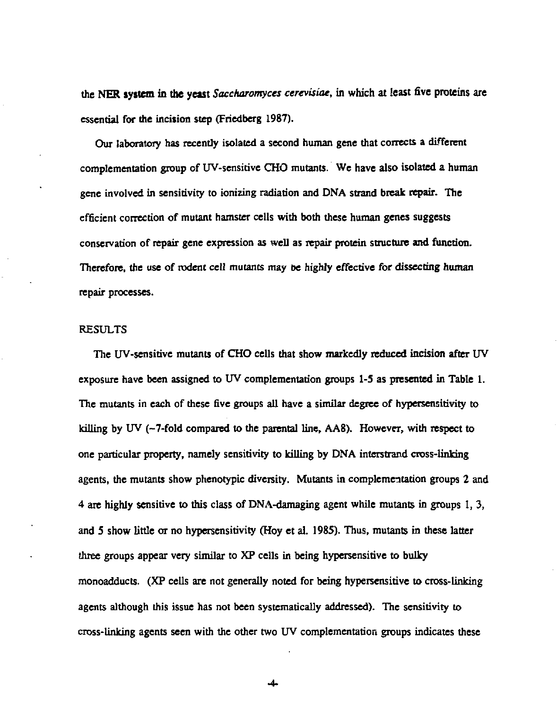the NER **system in the yeast** *Saccharomyces cerevisiae,* in which at least five proteins are essential for the incision step (Friedberg 1987).

Our laboratory has recently isolated a second human gene that corrects a different complementation group of UV-sensitive CHO mutants. We have also isolated a human gene involved in sensitivity to ionizing radiation and DNA strand break repair. The efficient correction of mutant hamster cells with both these human genes suggests conservation of repair gene expression as well as repair protein structure and function. Therefore, the use of rodent cell mutants may be highly effective for dissecting human repair processes.

### RESULTS

The UV-sensidve mutants of CHO cells that show markedly reduced incision after UV exposure have been assigned to UV complementation groups 1-5 as presented in Table 1. The mutants in each of these five groups all have a similar degree of hypersensitivity to killing by UV (-7-fold compared to the parental line, AA8). However, with respect to one particular property, namely sensitivity to killing by DNA interstrand cross-linking agents, the mutants show phenotypic diversity. Mutants in complementation groups 2 and 4 are highly sensitive to this class of DNA-damaging agent while mutants in groups 1, 3, and S show little or no hypersensitivity (Hoy et al. 1985). Thus, mutants in these latter three groups appear very similar to XP cells in being hypersensitive to bulky monoadducts. (XP cells are not generally noted for being hypersensitive to cross-linking agents although this issue has not been systematically addressed). The sensitivity to cross-linking agents seen with the other two UV complementation groups indicates these

**-4-**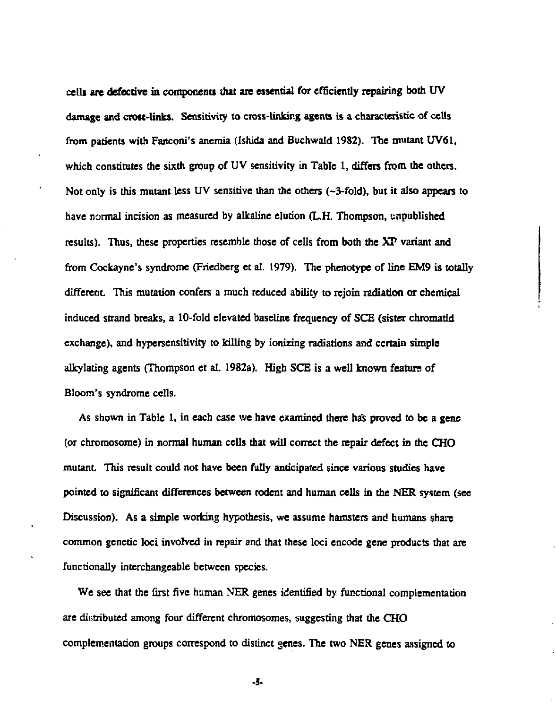**celli are defective in components that are essential for efficiently repairing both UV damage and crou-links. Sensitivity to cross-linking agents is a characteristic of cells from patients with Fanconi's anemia (Ishida and Buchwald 1982). The mutant UV61, which constitutes the sixth group of UV sensitivity in Table 1, differs from the others. Not only is this mutant less UV sensitive than the others (-3-fold), but it also appears to have normal incision as measured by alkaline elution (L.H. Thompson, unpublished results). Thus, these properties resemble those of cells from both the XP variant and from Cockayne's syndrome (Friedberg et al. 1979). The phenotype of line EM9 is totally**  different. This mutation confers a much reduced ability to rejoin radiation or chemical **induced strand breaks, a 10-fold elevated baseline frequency of SCE (sister chromatid exchange), and hypersensitivity to killing by ionizing radiations and certain simple alkylating agents (Thompson et al. 1982a). High SCE is a well known feature of Bloom's syndrome cells.** 

**As shown in Table 1, in each case we have examined there has proved to be a gene (or chromosome) in normal human cells that will correct the repair defect in the CHO mutant This result could not have been fully anticipated since various studies have pointed to significant differences between rodent and human cells in the NER system (see Discussion). As a simple working hypothesis, we assume hamsters and humans share common genetic loci involved in repair and that these loci encode gene products that are functionally interchangeable between species.** 

**We see that the first five human NER genes identified by functional complementation are distributed among four different chromosomes, suggesting that the CHO complementation groups correspond to distinct genes. The two NER genes assigned to** 

**-5-**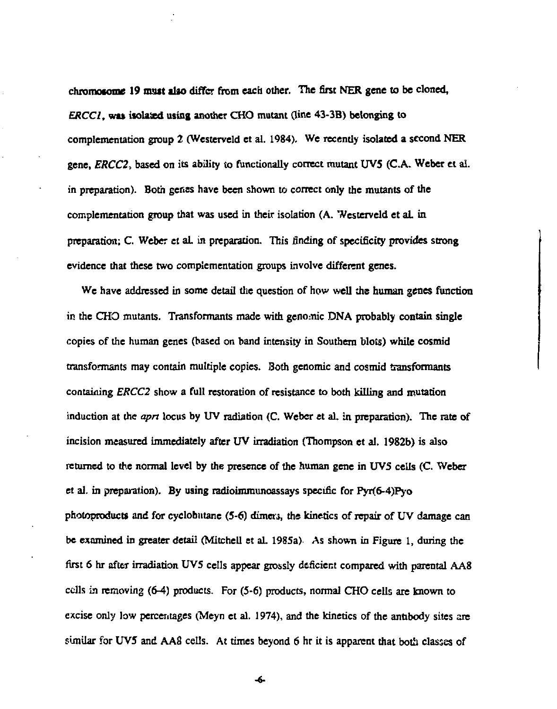chromoiome **19 must alio** differ from each other. The first NER gene to be cloned, *ERCC1*, was isolated using another CHO mutant (line 43-3B) belonging to complementation group 2 (Westerveld et al. 1984). We recently isolated a second NER gene, *ERCC2,* based on its ability to functionally correct mutant UV5 (C.A. Weber et al. in preparation). Both genes have been shown to correct only the mutants of the complementation group that was used in their isolation (A. Westerveld et aL in preparation; C. Weber et al. in preparation. This finding of specificity provides strong evidence that these two complementation groups involve different genes.

We have addressed in some detail the question of how well the human genes function in the CHO mutants. Transformants made with genomic DNA probably contain single copies of the human genes (based on band intensity in Southern blots) while cosmid transformants may contain multiple copies. Both genomic and cosmid transformants containing *ERCC2* show a full restoration of resistance to both killing and mutation induction at the *apn* locus by UV radiation (C. Weber et al. in preparation). The rate of incision measured immediately after UV irradiation (Thompson et al. 1982b) is also returned to the normal level by the presence of the human gene in UV5 cells (C. Weber et al. in preparation). By using radioimmunoassays specific for  $Pyr(6-4)Py_0$ photoproducts and for cyclobutane (5-6) dimers, the kinetics of repair of UV damage can be examined in greater detail (Mitchell et aL 1985a) As shown in Figure 1, during the first 6 hr after irradiation UV5 cells appear grossly deficient compared with parental AA8 cells *in* removing (6-4) products. For (5-6) products, normal CHO cells are known to excise only low percentages (Meyn et al. 1974), and the kinetics of the antibody sites are similar for UV5 and AA8 cells. At times beyond 6 hr it is apparent that both classes of

**-«.**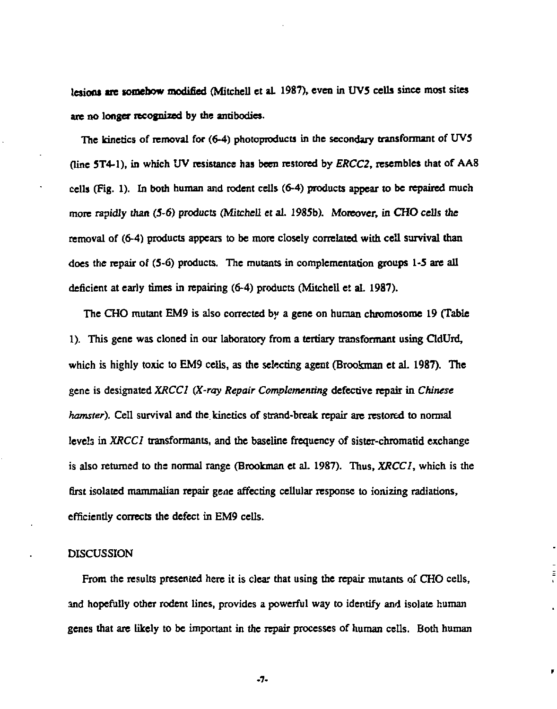lesions are somehow modified (Mitchell et al. 1987), even in UV5 cells since most sites are no longer recognized by the antibodies.

The kinetics of removal for (6-4) photoproducts in the secondary transformant of UV5 (line 5T4-1), in which UV resistance has been restored by *ERCC2,* resembles that of AA8 cells (Fig. 1). In both human and rodent cells (6-4) products appear to be repaired much more rapidly than (5-6) products (Mitchell et al. 1985b). Moreover, in CHO cells the removal of (6-4) products appears to be more closely correlated with cell survival than does the repair of (5-6) products. The mutants in complementation groups 1-5 are all deficient at early times in repairing (6-4) products (Mitchell et al. 1987).

The CHO mutant EM9 is also corrected by a gene on human chromosome 19 (Table 1). This gene was cloned in our laboratory from a tertiary transformant using CldUrd, which is highly toxic to EM9 cells, as the selecting agent (Brookman et al. 1987). The gene is designated *XRCCl (X-ray Repair Complementing* defective repair in *Chinese hamster*). Cell survival and the kinetics of strand-break repair are restored to normal levels in *XRCCl* transformants, and the baseline frequency of sister-chromatid exchange is also returned to the normal range (Brookman et al. 1987). Thus, *XRCCl,* which is the first isolated mammalian repair gene affecting cellular response to ionizing radiations, efficiently corrects the defect in EM9 cells.

# DISCUSSION

From the results presented here it is clear that using the repair mutants of CHO cells, and hopefully other rodent lines, provides a powerful way to identify and isolate human genes that are likely to be important in the repair processes of human cells. Both human

**-7-**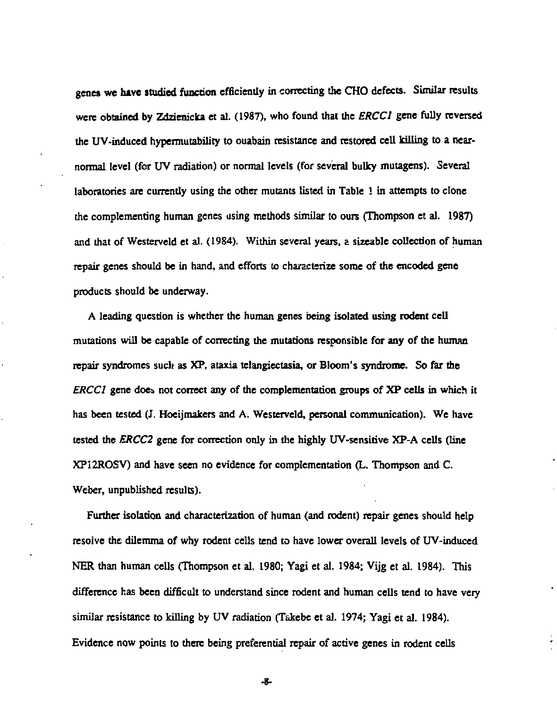genes **we hive** studied function efficiently in correcting the CHO defects. Similar results were obtained by Zdzienicka et al. (1987), who found that the *ERCCl* gene fully reversed the UV-induced hypermutability to ouabain resistance and restored cell killing to a nearnormal level (for UV radiation) or normal levels (for several bulky mutagens). Several laboratories are currently using the other mutants listed in Table 1 in attempts to clone the complementing human genes using methods similar to ours (Thompson et al. 1987) and that of Westerveld et al. (1984). Within several years, a sizeable collection of human repair genes should be in hand, and efforts to characterize some of the encoded gene products should be underway.

A leading question is whether the human genes being isolated using rodent cell mutations will be capable of correcting the mutations responsible for any of the human repair syndromes such as XP, ataxia telangiectasia, or Bloom's syndrome. So far the *ERCCl* gene does not correct any of the complementation groups of XP cells in which it has been tested (J. Hoeijmakers and A. Westerveld, personal communication). We have tested the *ERCC2* gene for correction only in the highly UV-sensitive XP-A cells (line XP12ROSV) and have seen no evidence for complementation (L. Thompson and C. Weber, unpublished results).

Further isolation and characterization of human (and rodent) repair genes should help resolve the dilemma of why rodent cells tend to have lower overall levels of UV-induced NER than human cells (Thompson et al. 1980; Yagi et al. 1984; Vijg et al. 1984). This difference has been difficult to understand since rodent and human cells tend to have very similar resistance to killing by UV radiation (Takebe et al. 1974; Yagi et al. 1984). Evidence now points to there being preferential repair of active genes in rodent cells

-8-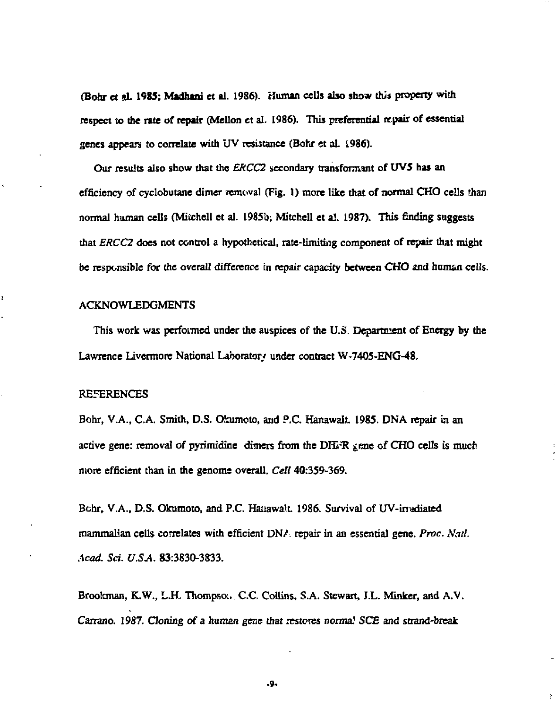(Bohr et *A.* **1985; Madhani** et al. 1986). Human cells also show this property with respect to die rate of repair (Mellon ct al. 1986). This preferential repair of essential genes appears to correlate with UV resistance (Bohr et aL 1986).

Our results also show that the *ERCC2* secondary transfomunt of UV5 has an efficiency of cyclobutane dimer removal (Fig. I) more like that of normal CHO cells than normal human cells (Mitchell et al. 1985b; Mitchell et al. 1987). This finding suggests that *ERCC2* does not control a hypothetical, rate-limiting component of repair that might be responsible for the overall difference in repair capacity between CHO and human cells.

### ACKNOWLEDGMENTS

This work was performed under the auspices of the U.S. Department of Energy by the Lawrence Livermore National Laboratory under contract W-7405-ENG-48,

### REFERENCES

Ł

Bohr, V.A., C.A. Smith, D.S. Okumoto, and P.C. Hanawalt, 1985. DNA repair in an active gene: removal of pyrimidine dimers from the DH $\mathbb{R}$   $\chi$  ene of CHO cells is much more efficient than in the genome overall. *Cell* 40:359-369.

Bohr, V.A., D.S. Okumoto, and P.C. Hanawalt, 1986. Survival of UV-irradiated mammalian cells correlates with efficient DNA repair in an essential gene. *Proc. Nad. Acad. Sci. U.SA.* 83:3830-3833.

Brookman, K.W., L.H. Thompson. C.C. Collins, S.A. Stewart, J.L. Minker, and A.V. Carrano. 1987. Cloning of a human gene that restores norma! SCE and strand-break

-9-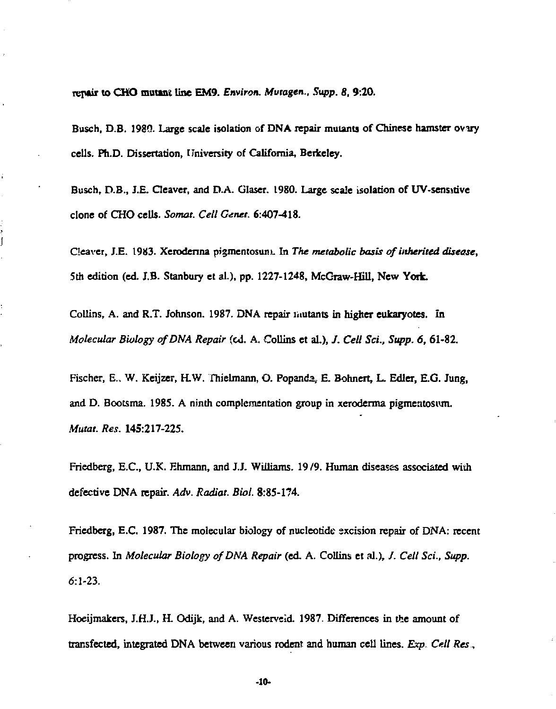**repair to CHO mutant line EM9.** *Environ. Mutagen., Supp. 8,* **9:20.** 

**Busch, D.B. 1980. Large scale isolation of DNA repair mutants of Chinese hamster oviry cells. Ph.D. Dissertation, University of California, Berkeley.** 

**Busch, D.B., J.£. Cleaver, and D.A. Glaser. 1980. Large scale isolation of UV-sensstive clone of CHO cells.** *Somat. Cell Genet.* **6:407-418.** 

Cleaver, J.E. 1983. Xeroderina pigmentosun). In *The metabolic basis of inherited disease*, **5th edition (ed. IB. Stanbury et al.), pp. 1227-1248, McGraw-Hill, New York.** 

**Collins, A. and R.T. Johnson. 1987. DNA repair inutants in higher eukaryotes. In**  *Molecular Biology of DNA Repair* **(ed. A. Collins et al.), /.** *Cell Sci., Supp. 6,* **61-82.** 

**Fischer, E., W. Keijzer, H.W. Thielmann, O. Popanda, E. Bohnert, L. Edler, E.G. Jung, and D. Bootsma. 198S. A ninth complementation group in xerodenna pigmentosum.**  *Mutat. Res.* **145:217-225.** 

Friedberg, E.C., U.K. Ehmann, and J.J. Williams. 19/9. Human diseases associated with **defective DNA repair.** *Adv. Radiat. Biol.* **8:85-174.** 

**Friedberg, E.C. 1987. The molecular biology of nucleotide excision repair of DNA: recent progress. In** *Molecular Biology of DNA Repair* **(ed. A. Collins et al.), /.** *Cell Sci., Supp.*  **6:1-23.** 

**Hoeijmakers, J.H.J., H. Odijk, and A. Westervsid. 1987. Differences in the amount of transfected, integrated DNA between various rodent and human cell lines.** *Exp. Cell Res***,** 

**-10-**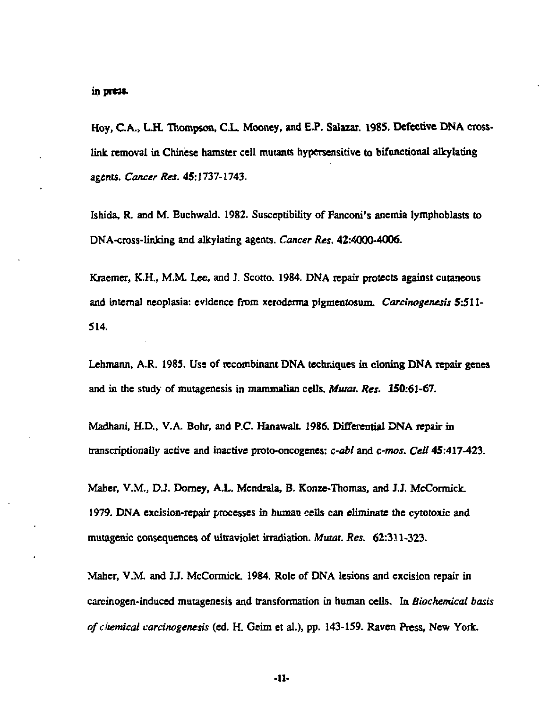Hoy, C.A., L.H. Thompson, C.L. Mooney, and E.P. Salazar. 1985. Defective DNA crosslink removal in Chinese hamster cell mutants hypersensitive to bifunctional alkylating agents. *Cancer Res.* 45:1737-1743.

Ishida, R. and M. Buchwald. 1982. Susceptibility of Fanconi's anemia lymphoblasts to DNA-cross-linldng and alkylating agents. *Cancer Res.* 42:4000-4006.

Kraemer, K.H., M.M. Lee, and J. Scotto. 1984. DNA repair protects against cutaneous and internal neoplasia: evidence from xeroderma pigmentosum. *Carcinogenesis* 5:511- 514.

Lehmann, A.R. 1985. Use of recombinant DNA techniques in cloning DNA repair genes and in the study of mutagenesis in mammalian cells. *Mutat. Res.* 150:61-67.

Madhani, H.D., V.A. Bohr, and P.C. HanawalL 1986. Differential DNA repair in transcriptionally active and inactive proto-oncogenes: *c-abt* and *c-mos. Cell* 45:417-423.

Maher, V.M., D.J. Dorney, A.L. Mendrala, B. Konze-Thomas, and J.J. McCormick. 1979. DNA excision-repair processes in human cells can eliminate the cytotoxic and mutagenic consequences of ultraviolet irradiation. *Mutat. Res.* 62:311-323.

Maher, V.M. and JJ. McCormick. 1984. Role of DNA lesions and excision repair in carcinogen-induced mutagenesis and transformation in human cells. In *Biochemical basis ofcliemicat carcinogenesis* (ed. H. Geim et al.), pp. 143-159. Raven Press, New York.

-II-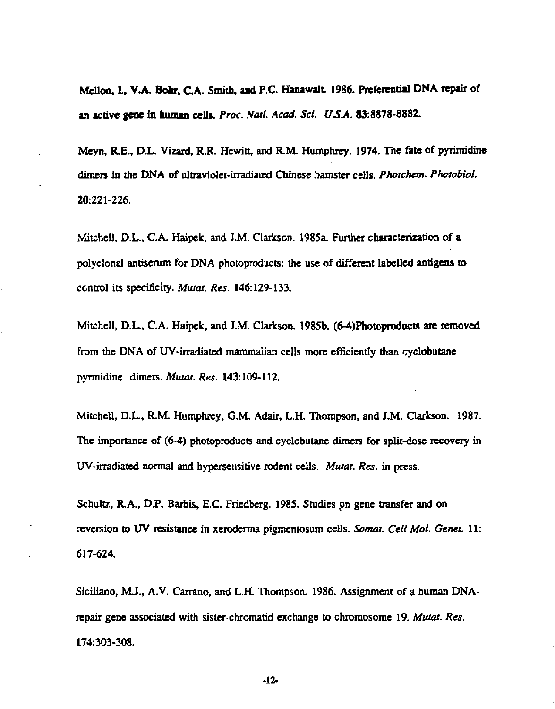Mellon, L, V.A. Bohr, CA. Smith, and P.C. HanawalL 1986. Preferential DNA repair of an active **gene in human** celli. *Proc. Natl. Acad. Sci. USA.* 83:8878-8882.

Meyn, R.E., D.L. Vizard, R.R. Hewitt, and R.M. Humphrey. 1974. The fate of pyiimidine dimers in the DNA of ultraviolet-irradiated Chinese hamster cells. *Photchem. Photobiol.*  20:221-226.

Mitchell, D.L., C.A. Haipek, and J.M. Clarkson. 1985a. Further characterization of a polyclonal antiserum for DNA photoproducts: the use of different labelled antigens to control its specificity. *Musat. Res.* 146:129-133.

Mitchell, D.L., C.A. Haipek, and J.M. Clarkson. 1985b. (6-4)Photoproducts are removed from the DNA of UV-irradiated mammalian cells more efficiently than cyclobutane pyrmidine dimers. *Mutat. Res.* 143:109-112.

Mitchell, D.L., R.M. Humphrey, CM. Adair, L.H. Thompson, and J.M. Clarkson. 1987. The importance of (6-4) photoproducts and cyclobutane dimers for split-dose recovery in UV-irradiated normal and hypersensitive rodent cells. *Mutat. Res.* in press.

Schultz, R.A., D.P. Barbis, E.C. Friedberg. 1985. Studies on gene transfer and on reversion to UV resistance in xeroderma pigmentosum cells. *Somat. Cell Mol. Genet.* 11: 617-624.

Siciliano, M.J., A.V. Carrano, and L.H. Thompson. 1986. Assignment of a human DNArepair gene associated with sister-chromatid exchange to chromosome 19. *Mutat. Res.*  174:303-308.

-It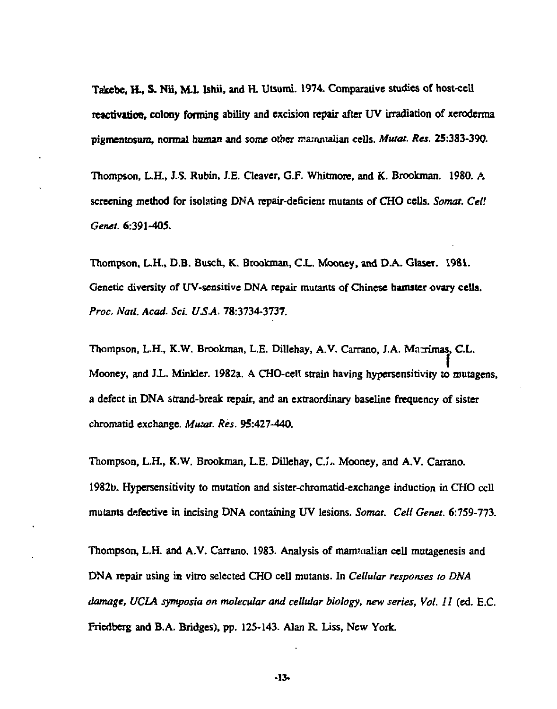**Takebe, H , S. Nii, M.L Ishii, and H. Utsumi. 1974. Comparative studies of host-cell reactivation, colony forming ability and excision repair after UV irradiation of xeroderma pigmentosum, normal human and some other irajiunalian cells.** *Mutat. Res.* **25:383-390.** 

**Thompson, L.H., J.S. Rubin, J.E. Cleaver, G.F. Whitmore, and K. Brookman. 1980. A screening method for isolating DNA repair-deficient mutants of CHO cells.** *Somat. Cell Genet.* **6:391-405.** 

**Thompson, L.H., D.B. Busch, K. Brookman, C.L. Mooney, and D.A. Glasei. 1981.**  Genetic diversity of UV-sensitive DNA repair mutants of Chinese hamster ovary cells. *Proc. Natl. Acad. Sci. USA.* **78:3734-3737.** 

Thompson, L.H., K.W. Brookman, L.E. Dillehay, A.V. Carrano, J.A. Marrimas, C.L. **Mooney, and Jl . Minkler. 1982a. A CHO-cell strain having hypersensitivity to mutagens, a defect in DNA strand-break repair, and an extraordinary baseline frequency of sister chromatid exchange.** *Mutat. Res.* **95:427-440.** 

**Thompson, L.H., K.W. Brookman, L.E. Dillehay, C.J- Mooney, and A.V. Carrano. 1982b. Hypersensitivity to mutation and sister-chromatid-exchange induction in CHO cell mutants defective in incising DNA containing UV lesions.** *Somat. Cell Genet.* **6:759-773.** 

**Thompson, L.H. and A.V. Carrano. 1983. Analysis of manmialian cell mutagenesis and DNA repair using in vitro selected CHO cell mutants. In** *Cellular responses to DNA damage, UCLA symposia on molecular and cellular biology, new series, Vol. 11* **(ed. E.C. Friedberg and B.A. Bridges), pp. 125-143. Alan R. Iiss, New York.** 

**-13-**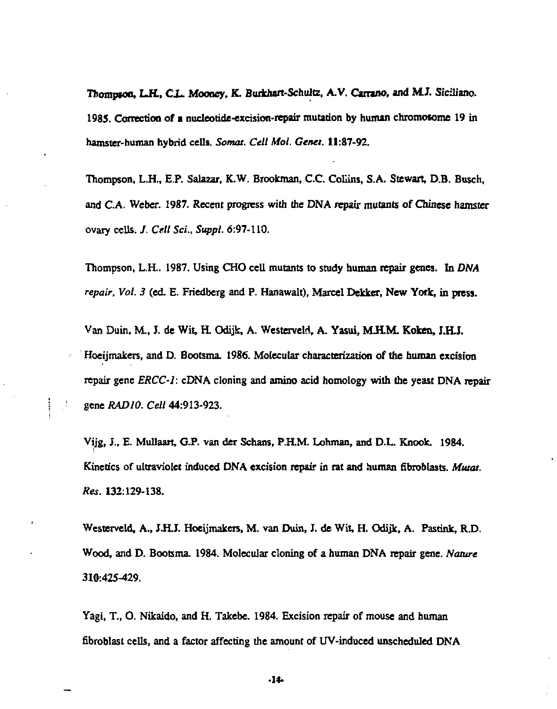**Thompson, LR . Ci . Mooney, K. Burkhort-Schultz, A.V. Camno, and M.J. Siciliano. 1985. Correction of a nucleotide-excision-repair mutation by human chromosome 19 in hamster-human hybrid cells.** *Somat. Cell Mol. Genet.* **11:87-92.** 

**Thompson, L.H., E.P. Salazar, K.W. Brookman, C.C. Collins, S.A. Stewart, D.B. Busch, and C.A. Weber. 1987. Recent progress with the DNA repair mutants of Chinese hamster ovary cells. /.** *Cell Sci., Suppl.* **6:97-110.** 

**Thompson, L.H.. 1987. Using CHO cell mutants to study human repair genes. In DM4**  *repair, Vol. 3* **(ed. E. Friedberg and P. Hanawalt), Marcel Dekker, New York, in press.** 

Van Duin, M., J. de Wit, H. Odijk, A. Westerveld, A. Yasui, M.H.M. Koken, J.H.J. **Hoeijmakers, and D. Bootsma. 1986. Molecular characterization of the human excision repair gene** *ERCC-1:* **cDNA cloning and amino acid homology with the yeast DNA repair gene** *RADIO. Cell* **44:913-923.** 

ŧ.

**Vijg, J., E. Mullaart, G.P. van der Schans, P.H.M. Lohman, and D.L. Knock. 1984. Kinetics of ultraviolet induced DNA excision repair in rat and human fibroblasts.** *Murat. Res.* **132:129-138.** 

**Westerveld, A.,** *S.H.J.* **Hoeijmakers, M. van Duin, J. de Wit, H. Odijk, A. Pastink, R.D. Wood, and D. Bootsma. 1984. Molecular cloning of a human DNA repair gene.** *Nature*  **310:425-429.** 

**Yagi, T., O. Nikaido, and H. Takebe. 1984. Excision repair of mouse and human fibroblast cells, and a factor affecting the amount of UV-induced unscheduled DNA** 

**-14-**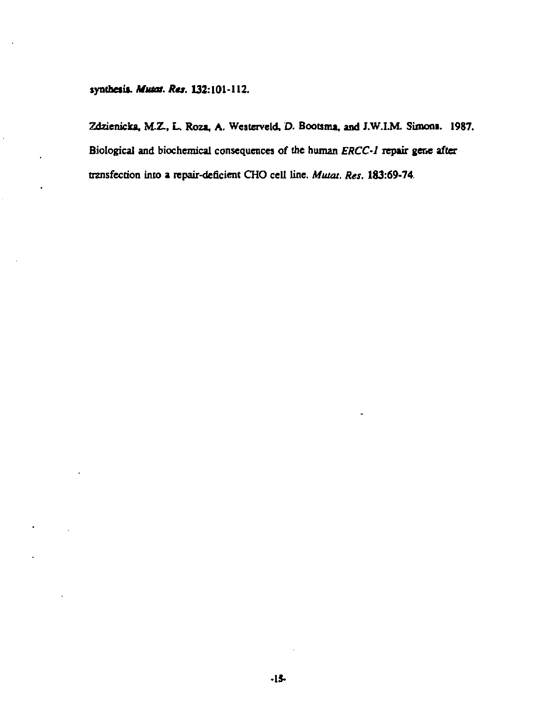synthesis. Musat. Res. 132:101-112.

Zdzienicka, M.Z., L. Roza, A. Westerveld, D. Bootsma, and J.W.I.M. Simons. 1987. Biological and biochemical consequences of the human ERCC-1 repair gene after transfection into a repair-deficient CHO cell line. Mutat. Res. 183:69-74.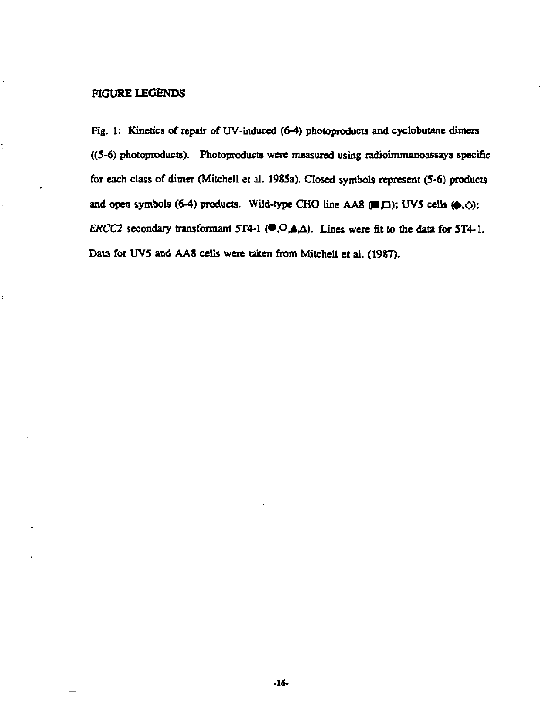# **FIGURE LEGENDS**

**Fig. 1: Kinetics of repair of UV-induced (6-4) photoproducts and cyclobutane dimers ((5-6) photoproducts). Photoproducts were measured using radioimmunoassays specific for each class of dimer (Mitchell et al. 1985a). Closed symbols represent (5-6) products**  and open symbols (6-4) products. Wild-type CHO line AA8 (**B** $\Box$ ); UV5 cells  $(\diamond, \diamond)$ ; *ERCC2* secondary transformant 5T4-1 ( $\bullet$ , $\circ$ , $\bullet$ , $\circ$ ). Lines were fit to the data for 5T4-1. **Data for UV5 and AA8 cells were taken from Mitchell et al. (1987).**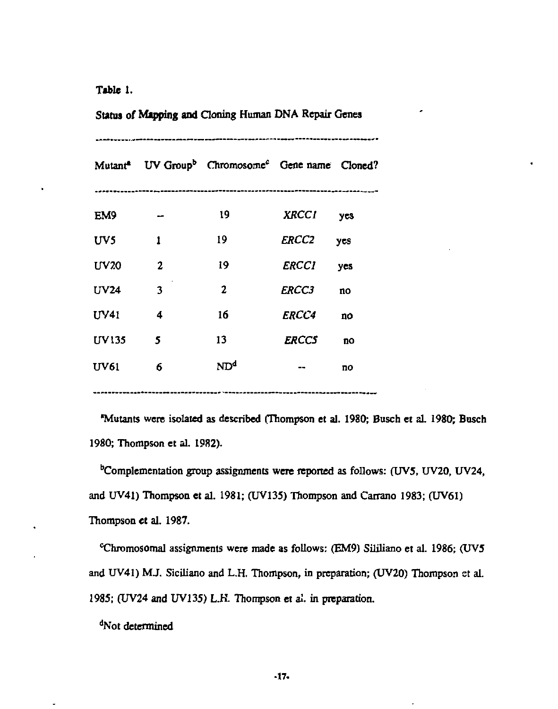**Table** 1.

| Status of Mapping and Cloning Human DNA Repair Genes |              |                                                                                     |                     |     |
|------------------------------------------------------|--------------|-------------------------------------------------------------------------------------|---------------------|-----|
|                                                      |              | Mutant <sup>4</sup> UV Group <sup>b</sup> Chromosome <sup>c</sup> Gene name Cloned? |                     |     |
| EM9                                                  |              | 19                                                                                  | XRCCI yes           |     |
| UV5                                                  | 1            | 19                                                                                  | <i>ERCC2</i>        | yes |
| <b>UV20</b>                                          | $\mathbf{2}$ | 19                                                                                  | ERCCI               | yes |
| UV24                                                 | 3            | 2                                                                                   | <b>ERCC3</b>        | no  |
| UV41                                                 | 4            | 16                                                                                  | <i><b>ERCC4</b></i> | no  |
| <b>IIV135</b>                                        | 5            | 13                                                                                  | <b>ERCCS</b>        | no  |
| UV61                                                 | 6            | ND <sup>4</sup>                                                                     |                     | no  |
|                                                      |              |                                                                                     |                     |     |

•Mutants were isolated as described (Thompson et al. 1980; Busch et al. 1980; Busch 1980; Thompson et al. 1982).

<sup>b</sup>Complementation group assignments were reported as follows: (UV5, UV20, UV24, and UV41) Thompson et al. 1981; (UV135) Thompson and Carrano 1983; (UV61) Thompson et al. 1987.

thromosomal assignments were made as follows: (EM9) Sililiano et al. 1986; (UV5 and UV41) MJ. Siciliano and L.H. Thompson, in preparation; (UV20) Thompson st al. 1985; (UV24 and UV135) L.K. Thompson et al. in preparation.

<sup>d</sup>Not determined

J.